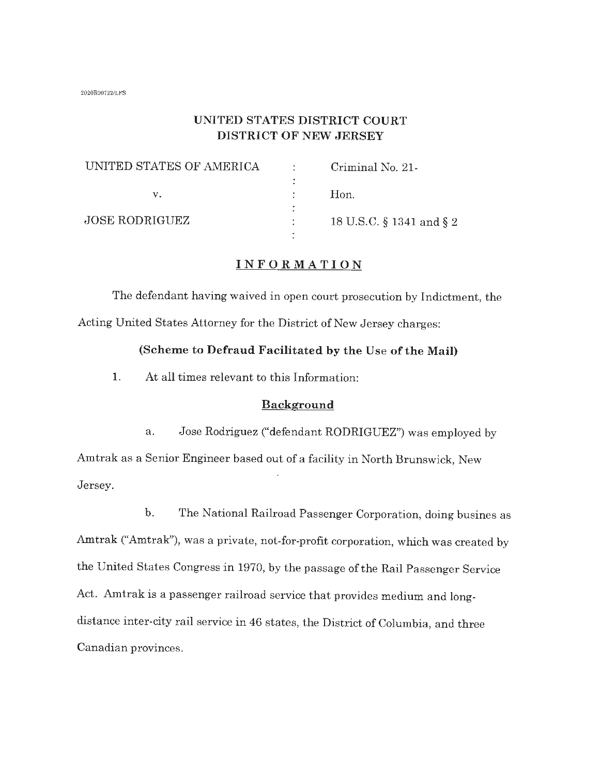#### 2020R007221LFS

### **UNITED STATES DISTRICT COURT DISTRICT OF NEW JERSEY**

| UNITED STATES OF AMERICA | Criminal No. 21-         |
|--------------------------|--------------------------|
|                          |                          |
|                          | Hon.                     |
|                          |                          |
| <b>JOSE RODRIGUEZ</b>    | 18 U.S.C. § 1341 and § 2 |
|                          |                          |

#### **INFORMATION**

The defendant having waived in open court prosecution by Indictment, the Acting United States Attorney for the District of New Jersey charges:

#### **(Scheme to Defraud Facilitated by the Use of the Mail)**

1. At all times relevant to this Information:

#### **Background**

a. Jose Rodriguez ("defendant RODRIGUEZ") was employed by Amtrak as a Senior Engineer based out of a facility in North Brunswick, New Jersey.

b. The National Railroad Passenger Corporation, doing busines as Amtrak ("Amtrak"), was a private, not-for-profit corporation, which was created by the United States Congress in 1970, by the passage of the Rail Passenger Service Act. Amtrak is a passenger railroad service that provides medium and longdistance inter-city rail service in 46 states, the District of Columbia, and three Canadian provinces.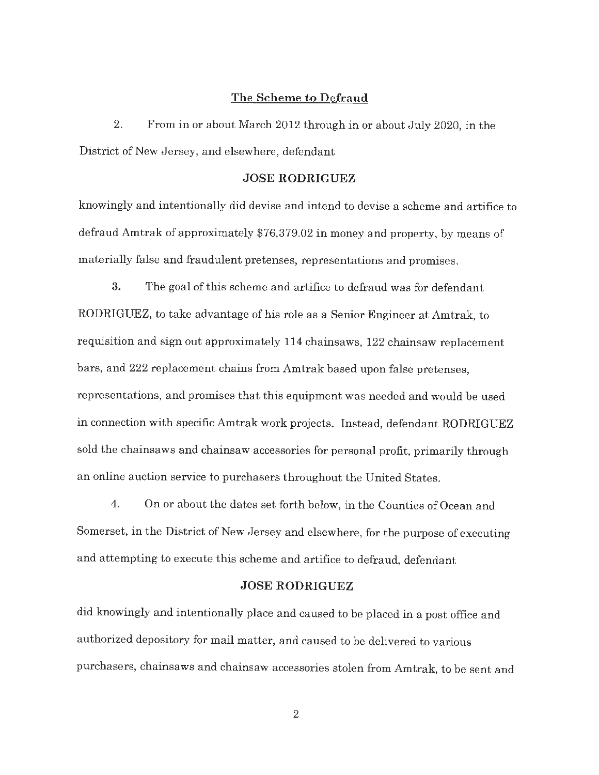#### **The Scheme to Defraud**

2. From in or about March 2012 through in or about July 2020, in the District of New Jersey, and elsewhere, defendant

#### **JOSE RODRIGUEZ**

knowingly and intentionally did devise and intend to devise a scheme and artifice to defraud Amtrak of approximately \$76,379.02 in money and property, by means of materially false and fraudulent pretenses, representations and promises.

**3.** The goal of this scheme and artifice to defraud was for defendant RODRIGUEZ, to take advantage of his role as a Senior Engineer at Amtrak, to requisition and sign out approximately 114 chainsaws, 122 chainsaw replacement bars, and 222 replacement chains from Amtrak based upon false pretenses, representations, and promises that this equipment was needed and would be used in connection with specific Amtrak work projects. Instead, defendant RODRIGUEZ sold the chainsaws and chainsaw accessories for personal profit, primarily through an online auction service to purchasers throughout the United States.

4. On or about the dates set forth below, in the Counties of Ocean and Somerset, in the District of New Jersey and elsewhere, for the purpose of executing and attempting to execute this scheme and artifice to defraud, defendant

#### **JOSE RODRIGUEZ**

did knowingly and intentionally place and caused to be placed in a post office and authorized depository for mail matter, and caused to be delivered to various purchasers, chainsaws and chainsaw accessories stolen from Amtrak, to be sent and

2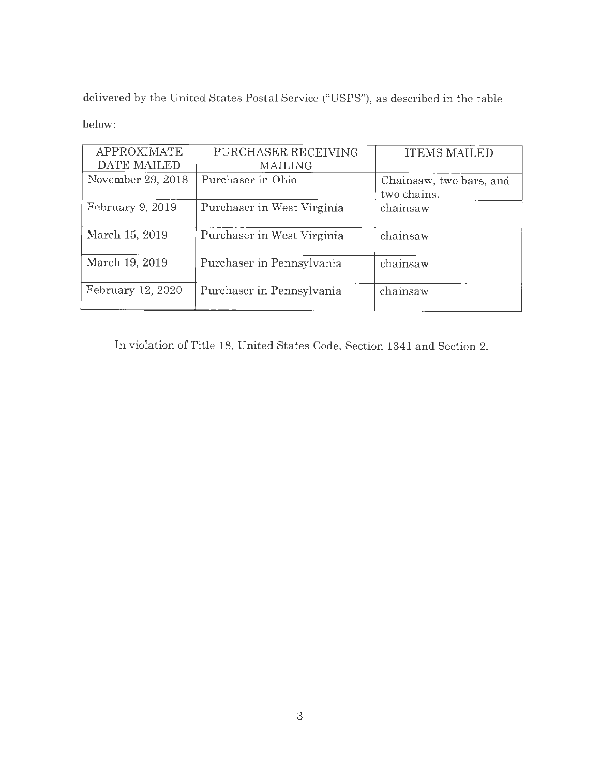delivered by the United States Postal Service ("USPS"), as described in the table

below:

| <b>APPROXIMATE</b> | PURCHASER RECEIVING        | <b>ITEMS MAILED</b>     |
|--------------------|----------------------------|-------------------------|
| DATE MAILED        | <b>MAILING</b>             |                         |
| November 29, 2018  | Purchaser in Ohio          | Chainsaw, two bars, and |
|                    |                            | two chains.             |
| February 9, 2019   | Purchaser in West Virginia | chainsaw                |
| March 15, 2019     | Purchaser in West Virginia | chainsaw                |
| March 19, 2019     | Purchaser in Pennsylvania  | chainsaw                |
| February 12, 2020  | Purchaser in Pennsylvania  | chainsaw                |

In violation of Title 18, United States Code, Section 1341 and Section 2.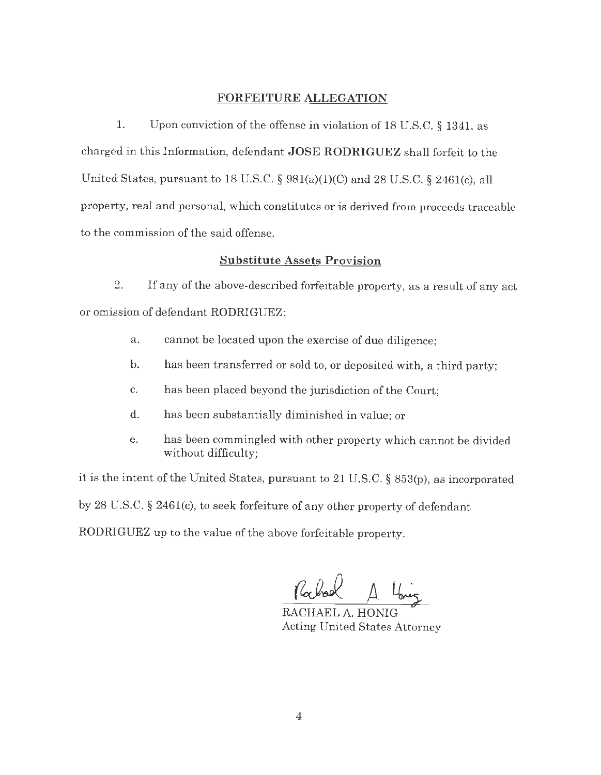#### **FORFEITURE ALLEGATION**

1. Upon conviction of the offense in violation of 18 U.S.C. § 1341, as charged in this Information, defendant **JOSE RODRIGUEZ** shall forfeit to the United States, pursuant to 18 U.S.C. § 981(a)(l)(C) and 28 U.S.C. § 2461(c), all property, real and personal, which constitutes or is derived from proceeds traceable to the commission of the said offense.

#### **Substitute Assets Provision**

2. If any of the above-described forfeitable property, as a result of any act or omission of defendant RODRIGUEZ:

- a. cannot be located upon the exercise of due diligence;
- b. has been transferred or sold to, or deposited with, a third party;
- c. has been placed beyond the jurisdiction of the Court;
- d. has been substantially diminished in value; or
- e. has been commingled with other property which cannot be divided without difficulty;

it is the intent of the United States, pursuant to 21 U.S.C. § 853(p), as incorporated by 28 U.S.C. § 2461(c), to seek forfeiture of any other property of defendant RODRIGUEZ up to the value of the above forfeitable property.

 $\int_0^1\int_0^1\int_0^1\int_0^1\int_0^1\int_0^1\int_0^1\int_0^1\int_0^1\int_0^1\int_0^1\int_0^1\int_0^1\int_0^1\int_0^1\int_0^1\int_0^1\int_0^1\int_0^1\int_0^1\int_0^1\int_0^1\int_0^1\int_0^1\int_0^1\int_0^1\int_0^1\int_0^1\int_0^1\int_0^1\int_0^1\int_0^1\int_0^1\int_0^1\int_0^1\int_0^1\int_0^$ 

RACHAEL A. HONIG Acting United States Attorney